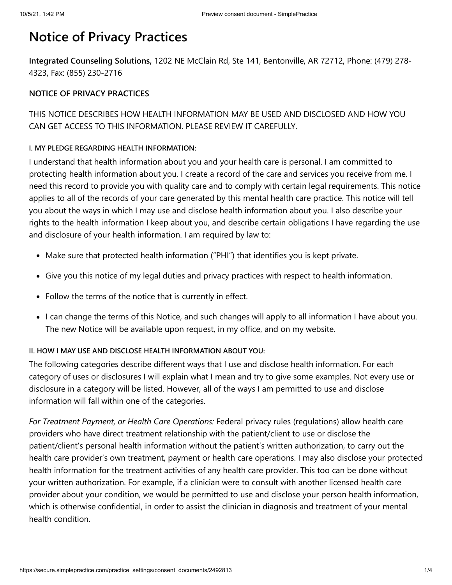# **Notice of Privacy Practices**

**Integrated Counseling Solutions,** 1202 NE McClain Rd, Ste 141, Bentonville, AR 72712, Phone: (479) 278- 4323, Fax: (855) 230-2716

## **NOTICE OF PRIVACY PRACTICES**

## THIS NOTICE DESCRIBES HOW HEALTH INFORMATION MAY BE USED AND DISCLOSED AND HOW YOU CAN GET ACCESS TO THIS INFORMATION. PLEASE REVIEW IT CAREFULLY.

#### **I. MY PLEDGE REGARDING HEALTH INFORMATION:**

I understand that health information about you and your health care is personal. I am committed to protecting health information about you. I create a record of the care and services you receive from me. I need this record to provide you with quality care and to comply with certain legal requirements. This notice applies to all of the records of your care generated by this mental health care practice. This notice will tell you about the ways in which I may use and disclose health information about you. I also describe your rights to the health information I keep about you, and describe certain obligations I have regarding the use and disclosure of your health information. I am required by law to:

- Make sure that protected health information ("PHI") that identifies you is kept private.
- Give you this notice of my legal duties and privacy practices with respect to health information.
- Follow the terms of the notice that is currently in effect.
- I can change the terms of this Notice, and such changes will apply to all information I have about you. The new Notice will be available upon request, in my office, and on my website.

## **II. HOW I MAY USE AND DISCLOSE HEALTH INFORMATION ABOUT YOU:**

The following categories describe different ways that I use and disclose health information. For each category of uses or disclosures I will explain what I mean and try to give some examples. Not every use or disclosure in a category will be listed. However, all of the ways I am permitted to use and disclose information will fall within one of the categories.

*For Treatment Payment, or Health Care Operations:* Federal privacy rules (regulations) allow health care providers who have direct treatment relationship with the patient/client to use or disclose the patient/client's personal health information without the patient's written authorization, to carry out the health care provider's own treatment, payment or health care operations. I may also disclose your protected health information for the treatment activities of any health care provider. This too can be done without your written authorization. For example, if a clinician were to consult with another licensed health care provider about your condition, we would be permitted to use and disclose your person health information, which is otherwise confidential, in order to assist the clinician in diagnosis and treatment of your mental health condition.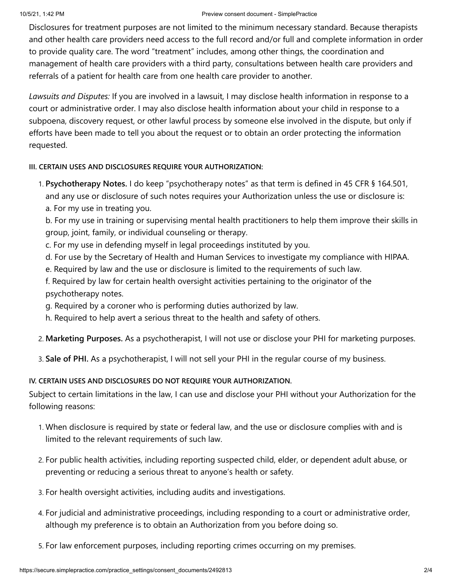#### 10/5/21, 1:42 PM Preview consent document - SimplePractice

Disclosures for treatment purposes are not limited to the minimum necessary standard. Because therapists and other health care providers need access to the full record and/or full and complete information in order to provide quality care. The word "treatment" includes, among other things, the coordination and management of health care providers with a third party, consultations between health care providers and referrals of a patient for health care from one health care provider to another.

*Lawsuits and Disputes:* If you are involved in a lawsuit, I may disclose health information in response to a court or administrative order. I may also disclose health information about your child in response to a subpoena, discovery request, or other lawful process by someone else involved in the dispute, but only if efforts have been made to tell you about the request or to obtain an order protecting the information requested.

## **III. CERTAIN USES AND DISCLOSURES REQUIRE YOUR AUTHORIZATION:**

1. **Psychotherapy Notes.** I do keep "psychotherapy notes" as that term is defined in 45 CFR § 164.501, and any use or disclosure of such notes requires your Authorization unless the use or disclosure is: a. For my use in treating you.

b. For my use in training or supervising mental health practitioners to help them improve their skills in group, joint, family, or individual counseling or therapy.

- c. For my use in defending myself in legal proceedings instituted by you.
- d. For use by the Secretary of Health and Human Services to investigate my compliance with HIPAA.
- e. Required by law and the use or disclosure is limited to the requirements of such law.
- f. Required by law for certain health oversight activities pertaining to the originator of the psychotherapy notes.
- g. Required by a coroner who is performing duties authorized by law.
- h. Required to help avert a serious threat to the health and safety of others.
- 2. **Marketing Purposes.** As a psychotherapist, I will not use or disclose your PHI for marketing purposes.
- 3. **Sale of PHI.** As a psychotherapist, I will not sell your PHI in the regular course of my business.

## **IV. CERTAIN USES AND DISCLOSURES DO NOT REQUIRE YOUR AUTHORIZATION.**

Subject to certain limitations in the law, I can use and disclose your PHI without your Authorization for the following reasons:

- 1. When disclosure is required by state or federal law, and the use or disclosure complies with and is limited to the relevant requirements of such law.
- 2. For public health activities, including reporting suspected child, elder, or dependent adult abuse, or preventing or reducing a serious threat to anyone's health or safety.
- 3. For health oversight activities, including audits and investigations.
- 4. For judicial and administrative proceedings, including responding to a court or administrative order, although my preference is to obtain an Authorization from you before doing so.
- 5. For law enforcement purposes, including reporting crimes occurring on my premises.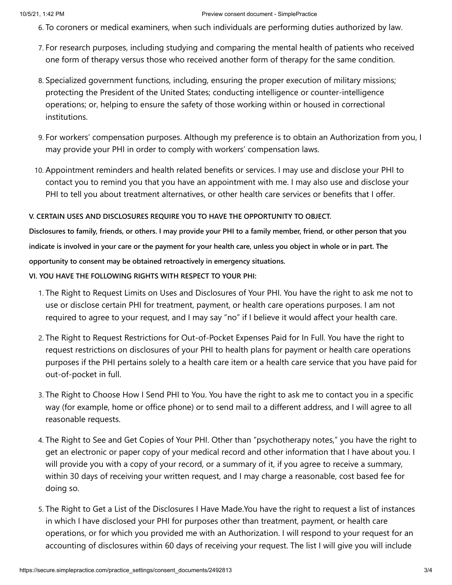#### 10/5/21, 1:42 PM Preview consent document - SimplePractice

- 6. To coroners or medical examiners, when such individuals are performing duties authorized by law.
- 7. For research purposes, including studying and comparing the mental health of patients who received one form of therapy versus those who received another form of therapy for the same condition.
- 8. Specialized government functions, including, ensuring the proper execution of military missions; protecting the President of the United States; conducting intelligence or counter-intelligence operations; or, helping to ensure the safety of those working within or housed in correctional institutions.
- 9. For workers' compensation purposes. Although my preference is to obtain an Authorization from you, I may provide your PHI in order to comply with workers' compensation laws.
- 10. Appointment reminders and health related benefits or services. I may use and disclose your PHI to contact you to remind you that you have an appointment with me. I may also use and disclose your PHI to tell you about treatment alternatives, or other health care services or benefits that I offer.

#### **V. CERTAIN USES AND DISCLOSURES REQUIRE YOU TO HAVE THE OPPORTUNITY TO OBJECT.**

**Disclosures to family, friends, or others. I may provide your PHI to a family member, friend, or other person that you indicate is involved in your care or the payment for your health care, unless you object in whole or in part. The opportunity to consent may be obtained retroactively in emergency situations.**

**VI. YOU HAVE THE FOLLOWING RIGHTS WITH RESPECT TO YOUR PHI:**

- 1. The Right to Request Limits on Uses and Disclosures of Your PHI. You have the right to ask me not to use or disclose certain PHI for treatment, payment, or health care operations purposes. I am not required to agree to your request, and I may say "no" if I believe it would affect your health care.
- 2. The Right to Request Restrictions for Out-of-Pocket Expenses Paid for In Full. You have the right to request restrictions on disclosures of your PHI to health plans for payment or health care operations purposes if the PHI pertains solely to a health care item or a health care service that you have paid for out-of-pocket in full.
- 3. The Right to Choose How I Send PHI to You. You have the right to ask me to contact you in a specific way (for example, home or office phone) or to send mail to a different address, and I will agree to all reasonable requests.
- 4. The Right to See and Get Copies of Your PHI. Other than "psychotherapy notes," you have the right to get an electronic or paper copy of your medical record and other information that I have about you. I will provide you with a copy of your record, or a summary of it, if you agree to receive a summary, within 30 days of receiving your written request, and I may charge a reasonable, cost based fee for doing so.
- 5. The Right to Get a List of the Disclosures I Have Made.You have the right to request a list of instances in which I have disclosed your PHI for purposes other than treatment, payment, or health care operations, or for which you provided me with an Authorization. I will respond to your request for an accounting of disclosures within 60 days of receiving your request. The list I will give you will include